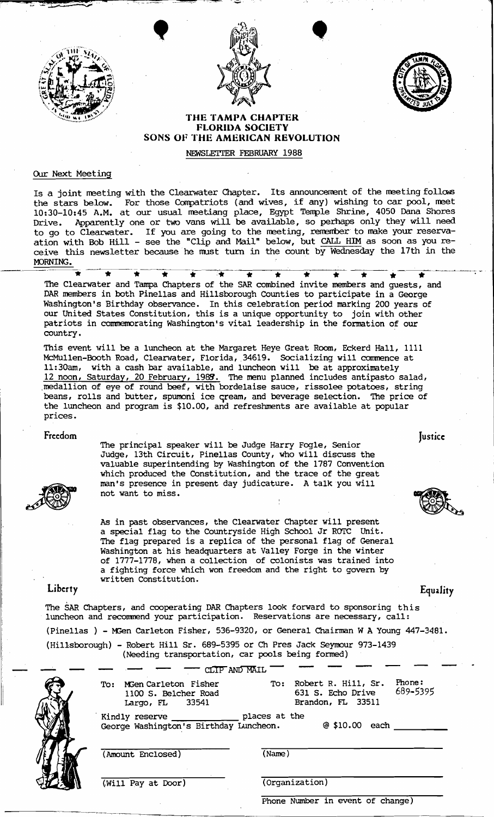





## THE TAMPA CHAPTER FLORIDA SOCIETY SONS OF THE AMERICAN REVOLUTION

NEWSLETTER FEBRUARY 1988

### Our Next Meeting

Is a joint meeting with the Clearwater Chapter. Its announcement of the meeting follows the stars below. For those Corrpatriots (and wives, if any) wishing to car pool, met 10:30-10:45 A.M. at our usual meetiang place, Egypt Temple Shrine, 4050 Dana Shores Drive. Apparently one or two vans will be available, so perhaps only they will need to go to Clearwater. If you are going to the meeting, remember to make your reservaation with Bob Hill - see the "Clip and Mail" below, but CALL HIM as soon as you re ceive this newsletter because he must turn in the count by Wednesday the 17th in the MORNING.

\* \* \*~~~.. « :« if \* \* \* \* \* \* .\_--~--.--- The Clearwater and Tampa Chapters of the SAR combined invite members and guests, and DAR members in both Pinellas and Hillsborough Counties to participate in a George Washington's Birthday observance. In this celebration period marking 200 years of our United States Constitution, this is a unique opportunity to join with other patriots in commemorating Washington's vital leadership in the formation of our country.

This event will be a luncheon at the Margaret Heye Great Room, Eckerd Hall, 1111 McMullen-Booth Road, Clearwater, Florida, 34619. Socializing will commence at 1l:30am, with a cash bar available, and luncheon will be at approximately 12 noon, Saturday, 20 February, 1988. The menu planned includes antipasto salad, ,medallion of eye of round beef, with bordelaise sauce, rissolee potatoes, string beans, rolls and butter, spumoni ice gream, and beverage selection. The price of the luncheon and program is \$10.00, and refreshments are available at popular prices.



Freedom Justice: Justice: The Contract of the Contract of the Contract of The Contract of The Testical Contract of The Testical Contract of Testical Contract of Testical Contract of Testical Contract of Testical Contract o The principal speaker will be Judge Harry Fogle, senior Judge, 13th Circuit, Pinellas County, who will discuss the valuable superintending by Washington of the 1787 Convention which produced the Constitution, and the trace of the great man's presence in present day judicature. A talk you will not want to miss.

> As in past observances, the Clearwater Chapter will present a SPecial flag to the Countryside High SChool Jr ROTC Unit. The flag prepared is a replica of the personal flag of General Washington at his headquarters at Valley Forge in the winter of 1777-1778, when a collection of colonists was trained into a fighting force which won freedom and the right to govern by written Constitution.

# Liberty **Equality**

The SAR Chapters, and cooperating DAR Chapters look forward to sponsoring this luncheon and recommend your participation. Reservations are necessary, call: (Pinellas ) - MGen carleton Fisher, 536-9320, or General Chairman WA Young 447-3481. (Hillsborough) - Robert Hill Sr. 689-5395 or Ch Pres Jack seymour 973-1439

| Ê<br>ť |  |
|--------|--|
|        |  |

| To: | MGen Carleton Fisher<br>1100 S. Belcher Road<br>33541    | To:           | Phone:<br>Robert R. Hill, Sr.<br>689-5395<br>631 S. Echo Drive<br>Brandon, FL 33511 |
|-----|----------------------------------------------------------|---------------|-------------------------------------------------------------------------------------|
|     | Largo, FL                                                |               |                                                                                     |
|     | Kindly reserve<br>George Washington's Birthday Luncheon. | places at the | @510.00<br>each                                                                     |

(Will Pay at Door) (Organization)

Phone Number in event of change)

**Iustice**